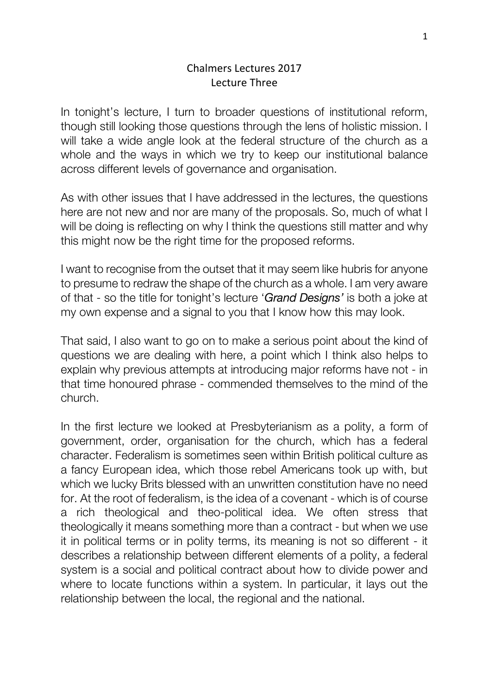#### Chalmers Lectures 2017 Lecture Three

In tonight's lecture, I turn to broader questions of institutional reform, though still looking those questions through the lens of holistic mission. I will take a wide angle look at the federal structure of the church as a whole and the ways in which we try to keep our institutional balance across different levels of governance and organisation.

As with other issues that I have addressed in the lectures, the questions here are not new and nor are many of the proposals. So, much of what I will be doing is reflecting on why I think the questions still matter and why this might now be the right time for the proposed reforms.

I want to recognise from the outset that it may seem like hubris for anyone to presume to redraw the shape of the church as a whole. I am very aware of that - so the title for tonight's lecture '*Grand Designs'* is both a joke at my own expense and a signal to you that I know how this may look.

That said, I also want to go on to make a serious point about the kind of questions we are dealing with here, a point which I think also helps to explain why previous attempts at introducing major reforms have not - in that time honoured phrase - commended themselves to the mind of the church.

In the first lecture we looked at Presbyterianism as a polity, a form of government, order, organisation for the church, which has a federal character. Federalism is sometimes seen within British political culture as a fancy European idea, which those rebel Americans took up with, but which we lucky Brits blessed with an unwritten constitution have no need for. At the root of federalism, is the idea of a covenant - which is of course a rich theological and theo-political idea. We often stress that theologically it means something more than a contract - but when we use it in political terms or in polity terms, its meaning is not so different - it describes a relationship between different elements of a polity, a federal system is a social and political contract about how to divide power and where to locate functions within a system. In particular, it lays out the relationship between the local, the regional and the national.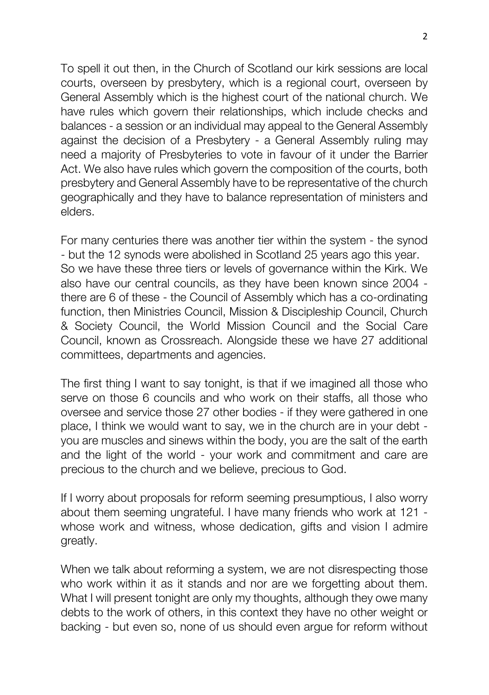To spell it out then, in the Church of Scotland our kirk sessions are local courts, overseen by presbytery, which is a regional court, overseen by General Assembly which is the highest court of the national church. We have rules which govern their relationships, which include checks and balances - a session or an individual may appeal to the General Assembly against the decision of a Presbytery - a General Assembly ruling may need a majority of Presbyteries to vote in favour of it under the Barrier Act. We also have rules which govern the composition of the courts, both presbytery and General Assembly have to be representative of the church geographically and they have to balance representation of ministers and elders.

For many centuries there was another tier within the system - the synod - but the 12 synods were abolished in Scotland 25 years ago this year. So we have these three tiers or levels of governance within the Kirk. We also have our central councils, as they have been known since 2004 there are 6 of these - the Council of Assembly which has a co-ordinating function, then Ministries Council, Mission & Discipleship Council, Church & Society Council, the World Mission Council and the Social Care Council, known as Crossreach. Alongside these we have 27 additional committees, departments and agencies.

The first thing I want to say tonight, is that if we imagined all those who serve on those 6 councils and who work on their staffs, all those who oversee and service those 27 other bodies - if they were gathered in one place, I think we would want to say, we in the church are in your debt you are muscles and sinews within the body, you are the salt of the earth and the light of the world - your work and commitment and care are precious to the church and we believe, precious to God.

If I worry about proposals for reform seeming presumptious, I also worry about them seeming ungrateful. I have many friends who work at 121 whose work and witness, whose dedication, gifts and vision I admire greatly.

When we talk about reforming a system, we are not disrespecting those who work within it as it stands and nor are we forgetting about them. What I will present tonight are only my thoughts, although they owe many debts to the work of others, in this context they have no other weight or backing - but even so, none of us should even argue for reform without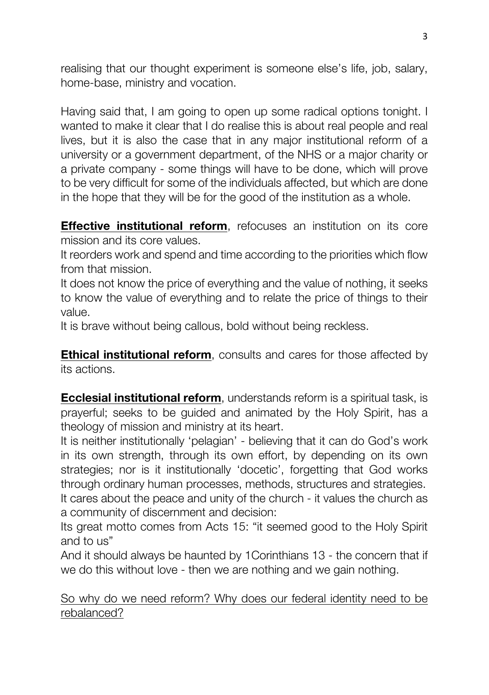realising that our thought experiment is someone else's life, job, salary, home-base, ministry and vocation.

Having said that, I am going to open up some radical options tonight. I wanted to make it clear that I do realise this is about real people and real lives, but it is also the case that in any major institutional reform of a university or a government department, of the NHS or a major charity or a private company - some things will have to be done, which will prove to be very difficult for some of the individuals affected, but which are done in the hope that they will be for the good of the institution as a whole.

**Effective institutional reform**, refocuses an institution on its core mission and its core values.

It reorders work and spend and time according to the priorities which flow from that mission.

It does not know the price of everything and the value of nothing, it seeks to know the value of everything and to relate the price of things to their value.

It is brave without being callous, bold without being reckless.

**Ethical institutional reform**, consults and cares for those affected by its actions.

**Ecclesial institutional reform**, understands reform is a spiritual task, is prayerful; seeks to be guided and animated by the Holy Spirit, has a theology of mission and ministry at its heart.

It is neither institutionally 'pelagian' - believing that it can do God's work in its own strength, through its own effort, by depending on its own strategies; nor is it institutionally 'docetic', forgetting that God works through ordinary human processes, methods, structures and strategies.

It cares about the peace and unity of the church - it values the church as a community of discernment and decision:

Its great motto comes from Acts 15: "it seemed good to the Holy Spirit and to us"

And it should always be haunted by 1Corinthians 13 - the concern that if we do this without love - then we are nothing and we gain nothing.

So why do we need reform? Why does our federal identity need to be rebalanced?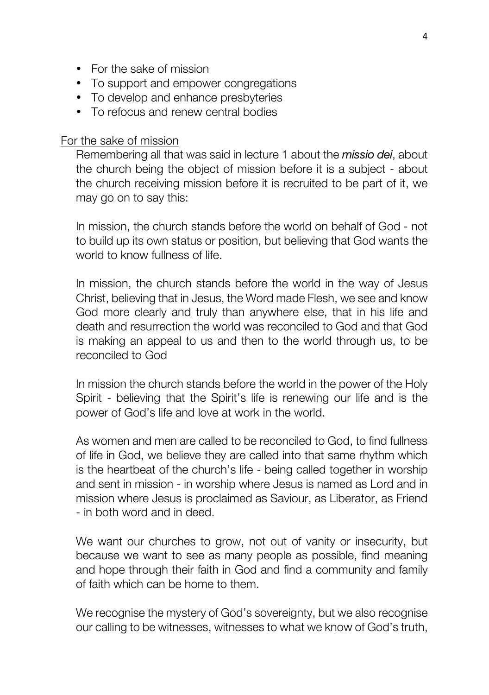- For the sake of mission
- To support and empower congregations
- To develop and enhance presbyteries
- To refocus and renew central bodies

#### For the sake of mission

Remembering all that was said in lecture 1 about the *missio dei*, about the church being the object of mission before it is a subject - about the church receiving mission before it is recruited to be part of it, we may go on to say this:

In mission, the church stands before the world on behalf of God - not to build up its own status or position, but believing that God wants the world to know fullness of life.

In mission, the church stands before the world in the way of Jesus Christ, believing that in Jesus, the Word made Flesh, we see and know God more clearly and truly than anywhere else, that in his life and death and resurrection the world was reconciled to God and that God is making an appeal to us and then to the world through us, to be reconciled to God

In mission the church stands before the world in the power of the Holy Spirit - believing that the Spirit's life is renewing our life and is the power of God's life and love at work in the world.

As women and men are called to be reconciled to God, to find fullness of life in God, we believe they are called into that same rhythm which is the heartbeat of the church's life - being called together in worship and sent in mission - in worship where Jesus is named as Lord and in mission where Jesus is proclaimed as Saviour, as Liberator, as Friend - in both word and in deed.

We want our churches to grow, not out of vanity or insecurity, but because we want to see as many people as possible, find meaning and hope through their faith in God and find a community and family of faith which can be home to them.

We recognise the mystery of God's sovereignty, but we also recognise our calling to be witnesses, witnesses to what we know of God's truth,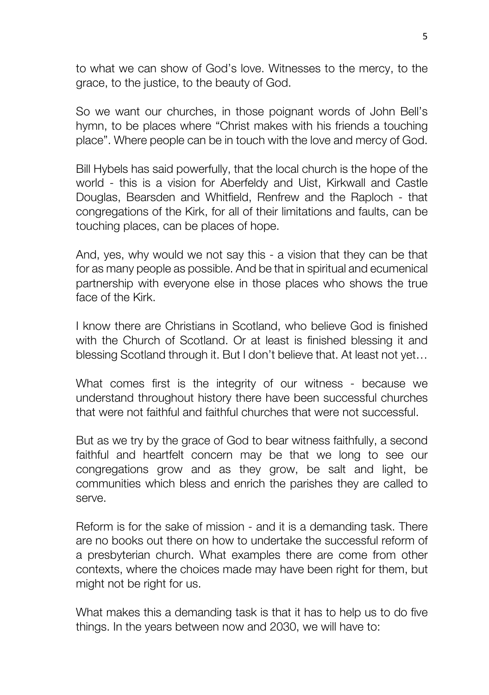to what we can show of God's love. Witnesses to the mercy, to the grace, to the justice, to the beauty of God.

So we want our churches, in those poignant words of John Bell's hymn, to be places where "Christ makes with his friends a touching place". Where people can be in touch with the love and mercy of God.

Bill Hybels has said powerfully, that the local church is the hope of the world - this is a vision for Aberfeldy and Uist, Kirkwall and Castle Douglas, Bearsden and Whitfield, Renfrew and the Raploch - that congregations of the Kirk, for all of their limitations and faults, can be touching places, can be places of hope.

And, yes, why would we not say this - a vision that they can be that for as many people as possible. And be that in spiritual and ecumenical partnership with everyone else in those places who shows the true face of the Kirk.

I know there are Christians in Scotland, who believe God is finished with the Church of Scotland. Or at least is finished blessing it and blessing Scotland through it. But I don't believe that. At least not yet…

What comes first is the integrity of our witness - because we understand throughout history there have been successful churches that were not faithful and faithful churches that were not successful.

But as we try by the grace of God to bear witness faithfully, a second faithful and heartfelt concern may be that we long to see our congregations grow and as they grow, be salt and light, be communities which bless and enrich the parishes they are called to serve.

Reform is for the sake of mission - and it is a demanding task. There are no books out there on how to undertake the successful reform of a presbyterian church. What examples there are come from other contexts, where the choices made may have been right for them, but might not be right for us.

What makes this a demanding task is that it has to help us to do five things. In the years between now and 2030, we will have to: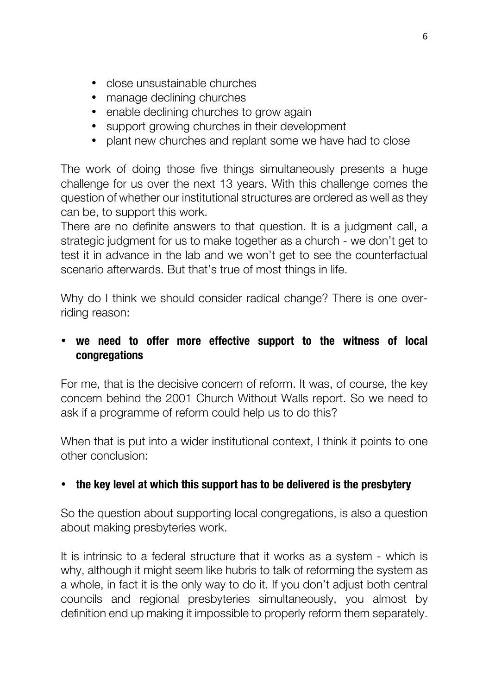- close unsustainable churches
- manage declining churches
- enable declining churches to grow again
- support growing churches in their development
- plant new churches and replant some we have had to close

The work of doing those five things simultaneously presents a huge challenge for us over the next 13 years. With this challenge comes the question of whether our institutional structures are ordered as well as they can be, to support this work.

There are no definite answers to that question. It is a judgment call, a strategic judgment for us to make together as a church - we don't get to test it in advance in the lab and we won't get to see the counterfactual scenario afterwards. But that's true of most things in life.

Why do I think we should consider radical change? There is one overriding reason:

# • **we need to offer more effective support to the witness of local congregations**

For me, that is the decisive concern of reform. It was, of course, the key concern behind the 2001 Church Without Walls report. So we need to ask if a programme of reform could help us to do this?

When that is put into a wider institutional context, I think it points to one other conclusion:

# • **the key level at which this support has to be delivered is the presbytery**

So the question about supporting local congregations, is also a question about making presbyteries work.

It is intrinsic to a federal structure that it works as a system - which is why, although it might seem like hubris to talk of reforming the system as a whole, in fact it is the only way to do it. If you don't adjust both central councils and regional presbyteries simultaneously, you almost by definition end up making it impossible to properly reform them separately.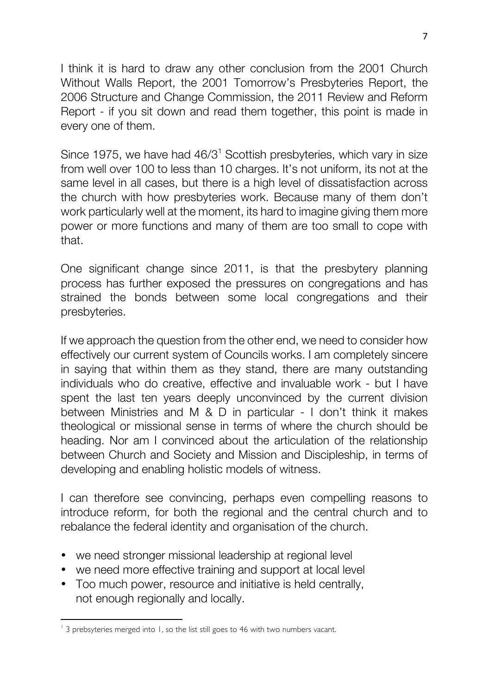I think it is hard to draw any other conclusion from the 2001 Church Without Walls Report, the 2001 Tomorrow's Presbyteries Report, the 2006 Structure and Change Commission, the 2011 Review and Reform Report - if you sit down and read them together, this point is made in every one of them.

Since 1975, we have had 46/3<sup>1</sup> Scottish presbyteries, which vary in size from well over 100 to less than 10 charges. It's not uniform, its not at the same level in all cases, but there is a high level of dissatisfaction across the church with how presbyteries work. Because many of them don't work particularly well at the moment, its hard to imagine giving them more power or more functions and many of them are too small to cope with that.

One significant change since 2011, is that the presbytery planning process has further exposed the pressures on congregations and has strained the bonds between some local congregations and their presbyteries.

If we approach the question from the other end, we need to consider how effectively our current system of Councils works. I am completely sincere in saying that within them as they stand, there are many outstanding individuals who do creative, effective and invaluable work - but I have spent the last ten years deeply unconvinced by the current division between Ministries and M & D in particular - I don't think it makes theological or missional sense in terms of where the church should be heading. Nor am I convinced about the articulation of the relationship between Church and Society and Mission and Discipleship, in terms of developing and enabling holistic models of witness.

I can therefore see convincing, perhaps even compelling reasons to introduce reform, for both the regional and the central church and to rebalance the federal identity and organisation of the church.

- we need stronger missional leadership at regional level
- we need more effective training and support at local level
- Too much power, resource and initiative is held centrally, not enough regionally and locally.

 

 $1$  3 prebsyteries merged into 1, so the list still goes to 46 with two numbers vacant.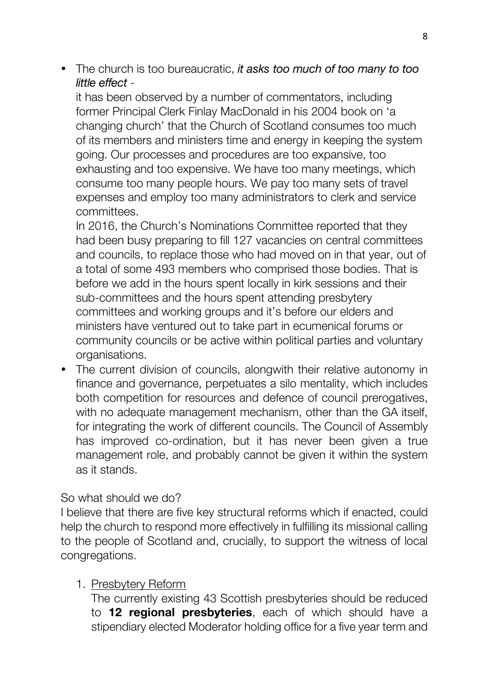• The church is too bureaucratic, *it asks too much of too many to too little effect* -

it has been observed by a number of commentators, including former Principal Clerk Finlay MacDonald in his 2004 book on 'a changing church' that the Church of Scotland consumes too much of its members and ministers time and energy in keeping the system going. Our processes and procedures are too expansive, too exhausting and too expensive. We have too many meetings, which consume too many people hours. We pay too many sets of travel expenses and employ too many administrators to clerk and service committees.

In 2016, the Church's Nominations Committee reported that they had been busy preparing to fill 127 vacancies on central committees and councils, to replace those who had moved on in that year, out of a total of some 493 members who comprised those bodies. That is before we add in the hours spent locally in kirk sessions and their sub-committees and the hours spent attending presbytery committees and working groups and it's before our elders and ministers have ventured out to take part in ecumenical forums or community councils or be active within political parties and voluntary organisations.

• The current division of councils, alongwith their relative autonomy in finance and governance, perpetuates a silo mentality, which includes both competition for resources and defence of council prerogatives, with no adequate management mechanism, other than the GA itself, for integrating the work of different councils. The Council of Assembly has improved co-ordination, but it has never been given a true management role, and probably cannot be given it within the system as it stands.

## So what should we do?

I believe that there are five key structural reforms which if enacted, could help the church to respond more effectively in fulfilling its missional calling to the people of Scotland and, crucially, to support the witness of local congregations.

# 1. Presbytery Reform

The currently existing 43 Scottish presbyteries should be reduced to **12 regional presbyteries**, each of which should have a stipendiary elected Moderator holding office for a five year term and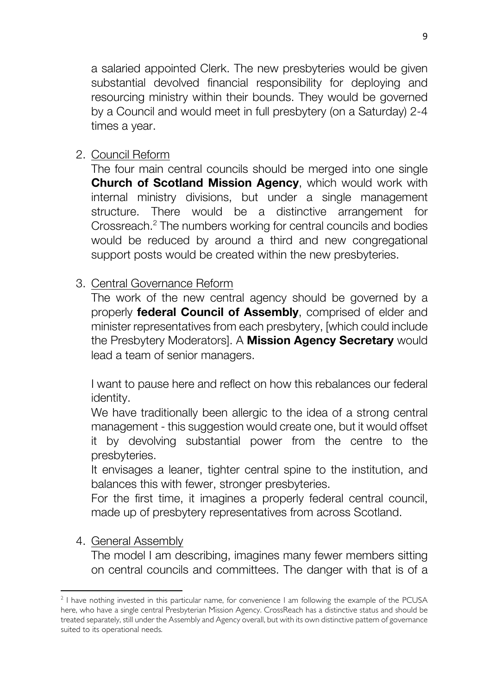a salaried appointed Clerk. The new presbyteries would be given substantial devolved financial responsibility for deploying and resourcing ministry within their bounds. They would be governed by a Council and would meet in full presbytery (on a Saturday) 2-4 times a year.

## 2. Council Reform

The four main central councils should be merged into one single **Church of Scotland Mission Agency**, which would work with internal ministry divisions, but under a single management structure. There would be a distinctive arrangement for Crossreach.<sup>2</sup> The numbers working for central councils and bodies would be reduced by around a third and new congregational support posts would be created within the new presbyteries.

## 3. Central Governance Reform

The work of the new central agency should be governed by a properly **federal Council of Assembly**, comprised of elder and minister representatives from each presbytery, [which could include the Presbytery Moderators]. A **Mission Agency Secretary** would lead a team of senior managers.

I want to pause here and reflect on how this rebalances our federal identity.

We have traditionally been allergic to the idea of a strong central management - this suggestion would create one, but it would offset it by devolving substantial power from the centre to the presbyteries.

It envisages a leaner, tighter central spine to the institution, and balances this with fewer, stronger presbyteries.

For the first time, it imagines a properly federal central council, made up of presbytery representatives from across Scotland.

## 4. General Assembly

 

The model I am describing, imagines many fewer members sitting on central councils and committees. The danger with that is of a

<sup>&</sup>lt;sup>2</sup> I have nothing invested in this particular name, for convenience I am following the example of the PCUSA here, who have a single central Presbyterian Mission Agency. CrossReach has a distinctive status and should be treated separately, still under the Assembly and Agency overall, but with its own distinctive pattern of governance suited to its operational needs.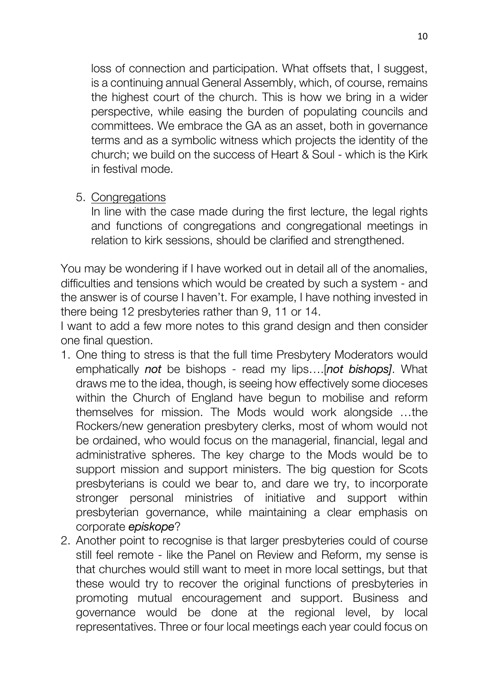loss of connection and participation. What offsets that, I suggest, is a continuing annual General Assembly, which, of course, remains the highest court of the church. This is how we bring in a wider perspective, while easing the burden of populating councils and committees. We embrace the GA as an asset, both in governance terms and as a symbolic witness which projects the identity of the church; we build on the success of Heart & Soul - which is the Kirk in festival mode.

5. Congregations

In line with the case made during the first lecture, the legal rights and functions of congregations and congregational meetings in relation to kirk sessions, should be clarified and strengthened.

You may be wondering if I have worked out in detail all of the anomalies, difficulties and tensions which would be created by such a system - and the answer is of course I haven't. For example, I have nothing invested in there being 12 presbyteries rather than 9, 11 or 14.

I want to add a few more notes to this grand design and then consider one final question.

- 1. One thing to stress is that the full time Presbytery Moderators would emphatically *not* be bishops - read my lips….[*not bishops]*. What draws me to the idea, though, is seeing how effectively some dioceses within the Church of England have begun to mobilise and reform themselves for mission. The Mods would work alongside …the Rockers/new generation presbytery clerks, most of whom would not be ordained, who would focus on the managerial, financial, legal and administrative spheres. The key charge to the Mods would be to support mission and support ministers. The big question for Scots presbyterians is could we bear to, and dare we try, to incorporate stronger personal ministries of initiative and support within presbyterian governance, while maintaining a clear emphasis on corporate *episkope*?
- 2. Another point to recognise is that larger presbyteries could of course still feel remote - like the Panel on Review and Reform, my sense is that churches would still want to meet in more local settings, but that these would try to recover the original functions of presbyteries in promoting mutual encouragement and support. Business and governance would be done at the regional level, by local representatives. Three or four local meetings each year could focus on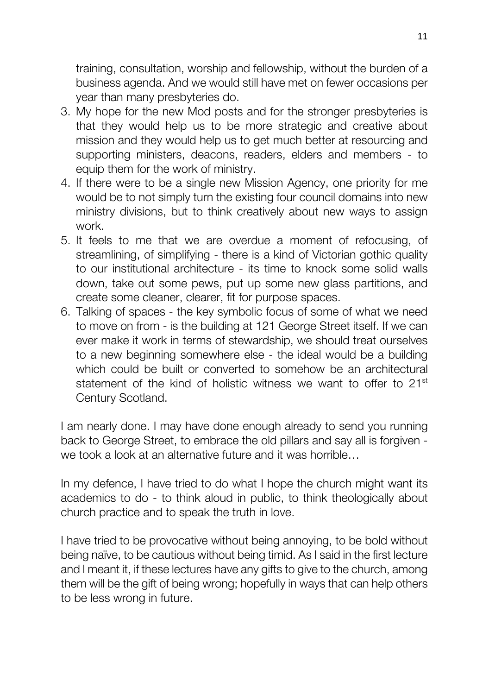training, consultation, worship and fellowship, without the burden of a business agenda. And we would still have met on fewer occasions per year than many presbyteries do.

- 3. My hope for the new Mod posts and for the stronger presbyteries is that they would help us to be more strategic and creative about mission and they would help us to get much better at resourcing and supporting ministers, deacons, readers, elders and members - to equip them for the work of ministry.
- 4. If there were to be a single new Mission Agency, one priority for me would be to not simply turn the existing four council domains into new ministry divisions, but to think creatively about new ways to assign work.
- 5. It feels to me that we are overdue a moment of refocusing, of streamlining, of simplifying - there is a kind of Victorian gothic quality to our institutional architecture - its time to knock some solid walls down, take out some pews, put up some new glass partitions, and create some cleaner, clearer, fit for purpose spaces.
- 6. Talking of spaces the key symbolic focus of some of what we need to move on from - is the building at 121 George Street itself. If we can ever make it work in terms of stewardship, we should treat ourselves to a new beginning somewhere else - the ideal would be a building which could be built or converted to somehow be an architectural statement of the kind of holistic witness we want to offer to  $21<sup>st</sup>$ Century Scotland.

I am nearly done. I may have done enough already to send you running back to George Street, to embrace the old pillars and say all is forgiven we took a look at an alternative future and it was horrible…

In my defence, I have tried to do what I hope the church might want its academics to do - to think aloud in public, to think theologically about church practice and to speak the truth in love.

I have tried to be provocative without being annoying, to be bold without being naïve, to be cautious without being timid. As I said in the first lecture and I meant it, if these lectures have any gifts to give to the church, among them will be the gift of being wrong; hopefully in ways that can help others to be less wrong in future.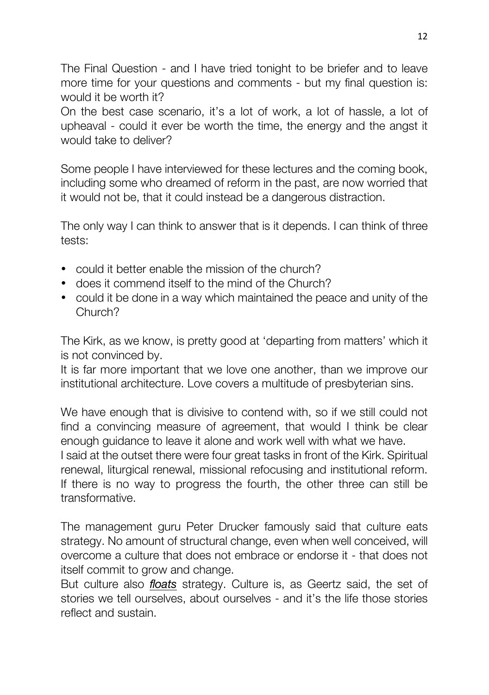The Final Question - and I have tried tonight to be briefer and to leave more time for your questions and comments - but my final question is: would it be worth it?

On the best case scenario, it's a lot of work, a lot of hassle, a lot of upheaval - could it ever be worth the time, the energy and the angst it would take to deliver?

Some people I have interviewed for these lectures and the coming book, including some who dreamed of reform in the past, are now worried that it would not be, that it could instead be a dangerous distraction.

The only way I can think to answer that is it depends. I can think of three tests:

- could it better enable the mission of the church?
- does it commend itself to the mind of the Church?
- could it be done in a way which maintained the peace and unity of the Church?

The Kirk, as we know, is pretty good at 'departing from matters' which it is not convinced by.

It is far more important that we love one another, than we improve our institutional architecture. Love covers a multitude of presbyterian sins.

We have enough that is divisive to contend with, so if we still could not find a convincing measure of agreement, that would I think be clear enough guidance to leave it alone and work well with what we have.

I said at the outset there were four great tasks in front of the Kirk. Spiritual renewal, liturgical renewal, missional refocusing and institutional reform. If there is no way to progress the fourth, the other three can still be transformative.

The management guru Peter Drucker famously said that culture eats strategy. No amount of structural change, even when well conceived, will overcome a culture that does not embrace or endorse it - that does not itself commit to grow and change.

But culture also *floats* strategy. Culture is, as Geertz said, the set of stories we tell ourselves, about ourselves - and it's the life those stories reflect and sustain.